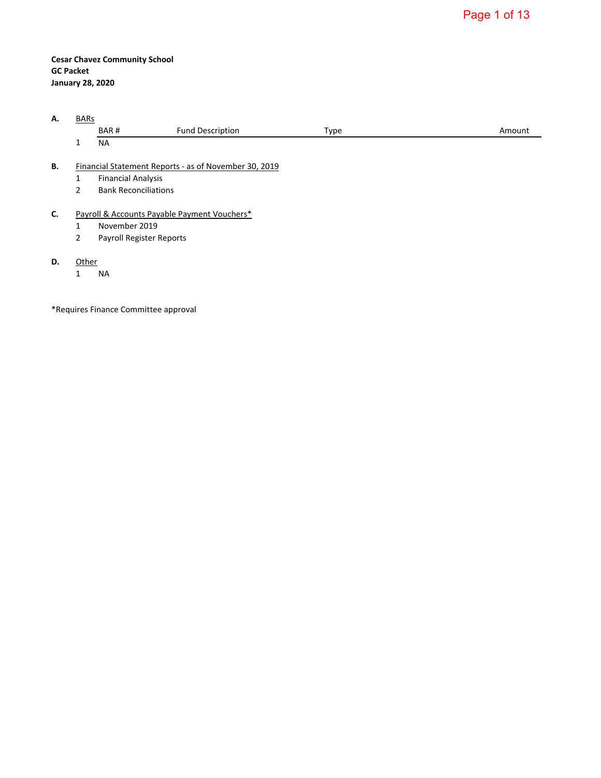—

**Cesar Chavez Community School GC Packet January 28, 2020**

| А. | <b>BARs</b>    |                             |                                                       |      |        |  |  |  |  |  |  |
|----|----------------|-----------------------------|-------------------------------------------------------|------|--------|--|--|--|--|--|--|
|    |                | BAR#                        | <b>Fund Description</b>                               | Type | Amount |  |  |  |  |  |  |
|    | 1              | <b>NA</b>                   |                                                       |      |        |  |  |  |  |  |  |
| В. |                |                             | Financial Statement Reports - as of November 30, 2019 |      |        |  |  |  |  |  |  |
|    | 1              | <b>Financial Analysis</b>   |                                                       |      |        |  |  |  |  |  |  |
|    | 2              | <b>Bank Reconciliations</b> |                                                       |      |        |  |  |  |  |  |  |
| C. |                |                             | Payroll & Accounts Payable Payment Vouchers*          |      |        |  |  |  |  |  |  |
|    | 1              | November 2019               |                                                       |      |        |  |  |  |  |  |  |
|    | $\overline{2}$ | Payroll Register Reports    |                                                       |      |        |  |  |  |  |  |  |
| D. | Other          |                             |                                                       |      |        |  |  |  |  |  |  |

1 NA

\*Requires Finance Committee approval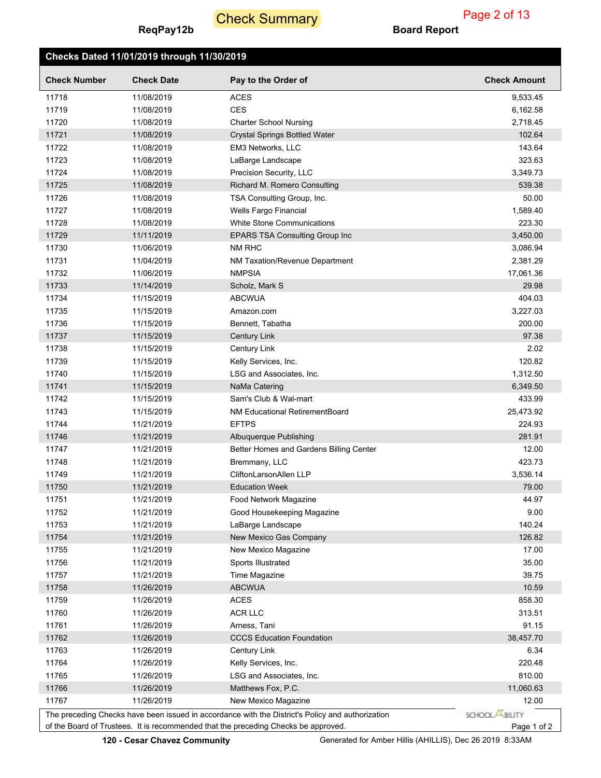# **Check Summary**

# **Checks Dated 11/01/2019 through 11/30/2019**

|  | d Report |  |
|--|----------|--|
|--|----------|--|

| <b>Check Number</b> | <b>Check Date</b>                                                                                                                                                                      | Pay to the Order of                     | <b>Check Amount</b>   |  |  |  |  |
|---------------------|----------------------------------------------------------------------------------------------------------------------------------------------------------------------------------------|-----------------------------------------|-----------------------|--|--|--|--|
| 11718               | 11/08/2019                                                                                                                                                                             | <b>ACES</b>                             | 9,533.45              |  |  |  |  |
| 11719               | 11/08/2019                                                                                                                                                                             | <b>CES</b>                              | 6,162.58              |  |  |  |  |
| 11720               | 11/08/2019                                                                                                                                                                             | <b>Charter School Nursing</b>           | 2,718.45              |  |  |  |  |
| 11721               | 11/08/2019                                                                                                                                                                             | <b>Crystal Springs Bottled Water</b>    | 102.64                |  |  |  |  |
| 11722               | 11/08/2019                                                                                                                                                                             | EM3 Networks, LLC                       | 143.64                |  |  |  |  |
| 11723               | 11/08/2019                                                                                                                                                                             | LaBarge Landscape                       | 323.63                |  |  |  |  |
| 11724               | 11/08/2019                                                                                                                                                                             | Precision Security, LLC                 | 3,349.73              |  |  |  |  |
| 11725               | 11/08/2019                                                                                                                                                                             | Richard M. Romero Consulting            | 539.38                |  |  |  |  |
| 11726               | 11/08/2019                                                                                                                                                                             | TSA Consulting Group, Inc.              | 50.00                 |  |  |  |  |
| 11727               | 11/08/2019                                                                                                                                                                             | Wells Fargo Financial                   | 1,589.40              |  |  |  |  |
| 11728               | 11/08/2019                                                                                                                                                                             | <b>White Stone Communications</b>       | 223.30                |  |  |  |  |
| 11729               | 11/11/2019                                                                                                                                                                             | <b>EPARS TSA Consulting Group Inc</b>   | 3,450.00              |  |  |  |  |
| 11730               | 11/06/2019                                                                                                                                                                             | NM RHC                                  | 3,086.94              |  |  |  |  |
| 11731               | 11/04/2019                                                                                                                                                                             | NM Taxation/Revenue Department          | 2,381.29              |  |  |  |  |
| 11732               | 11/06/2019                                                                                                                                                                             | <b>NMPSIA</b>                           | 17,061.36             |  |  |  |  |
| 11733               | 11/14/2019                                                                                                                                                                             | Scholz, Mark S                          | 29.98                 |  |  |  |  |
| 11734               | 11/15/2019                                                                                                                                                                             | <b>ABCWUA</b>                           | 404.03                |  |  |  |  |
| 11735               | 11/15/2019                                                                                                                                                                             | Amazon.com                              | 3,227.03              |  |  |  |  |
| 11736               | 11/15/2019                                                                                                                                                                             | Bennett, Tabatha                        | 200.00                |  |  |  |  |
| 11737               | 11/15/2019                                                                                                                                                                             | Century Link                            | 97.38                 |  |  |  |  |
| 11738               | 11/15/2019                                                                                                                                                                             | Century Link                            | 2.02                  |  |  |  |  |
| 11739               | 11/15/2019                                                                                                                                                                             | Kelly Services, Inc.                    | 120.82                |  |  |  |  |
| 11740               | 11/15/2019                                                                                                                                                                             | LSG and Associates, Inc.                | 1,312.50              |  |  |  |  |
| 11741               | 11/15/2019                                                                                                                                                                             | NaMa Catering                           | 6,349.50              |  |  |  |  |
| 11742               | 11/15/2019                                                                                                                                                                             | Sam's Club & Wal-mart                   | 433.99                |  |  |  |  |
| 11743               | 11/15/2019                                                                                                                                                                             | <b>NM Educational RetirementBoard</b>   | 25,473.92             |  |  |  |  |
| 11744               | 11/21/2019                                                                                                                                                                             | <b>EFTPS</b>                            | 224.93                |  |  |  |  |
| 11746               | 11/21/2019                                                                                                                                                                             | Albuquerque Publishing                  | 281.91                |  |  |  |  |
| 11747               | 11/21/2019                                                                                                                                                                             | Better Homes and Gardens Billing Center | 12.00                 |  |  |  |  |
| 11748               | 11/21/2019                                                                                                                                                                             | Bremmany, LLC                           | 423.73                |  |  |  |  |
| 11749               | 11/21/2019                                                                                                                                                                             | CliftonLarsonAllen LLP                  | 3,536.14              |  |  |  |  |
| 11750               | 11/21/2019                                                                                                                                                                             | <b>Education Week</b>                   | 79.00                 |  |  |  |  |
| 11751               | 11/21/2019                                                                                                                                                                             | Food Network Magazine                   | 44.97                 |  |  |  |  |
| 11752               | 11/21/2019                                                                                                                                                                             | Good Housekeeping Magazine              | 9.00                  |  |  |  |  |
| 11753               | 11/21/2019                                                                                                                                                                             | LaBarge Landscape                       | 140.24                |  |  |  |  |
| 11754               | 11/21/2019                                                                                                                                                                             | New Mexico Gas Company                  | 126.82                |  |  |  |  |
| 11755               | 11/21/2019                                                                                                                                                                             | New Mexico Magazine                     | 17.00                 |  |  |  |  |
| 11756               | 11/21/2019                                                                                                                                                                             | Sports Illustrated                      | 35.00                 |  |  |  |  |
| 11757               | 11/21/2019                                                                                                                                                                             | Time Magazine                           | 39.75                 |  |  |  |  |
| 11758               | 11/26/2019                                                                                                                                                                             | <b>ABCWUA</b>                           | 10.59                 |  |  |  |  |
| 11759               | 11/26/2019                                                                                                                                                                             | <b>ACES</b>                             | 858.30                |  |  |  |  |
| 11760               | 11/26/2019                                                                                                                                                                             | <b>ACR LLC</b>                          | 313.51                |  |  |  |  |
| 11761               | 11/26/2019                                                                                                                                                                             | Arness, Tani                            | 91.15                 |  |  |  |  |
| 11762               | 11/26/2019                                                                                                                                                                             | <b>CCCS Education Foundation</b>        | 38,457.70             |  |  |  |  |
| 11763               | 11/26/2019                                                                                                                                                                             | Century Link                            | 6.34                  |  |  |  |  |
| 11764               | 11/26/2019                                                                                                                                                                             | Kelly Services, Inc.                    | 220.48                |  |  |  |  |
| 11765               | 11/26/2019                                                                                                                                                                             | LSG and Associates, Inc.                | 810.00                |  |  |  |  |
| 11766               | 11/26/2019                                                                                                                                                                             | Matthews Fox, P.C.                      | 11,060.63             |  |  |  |  |
| 11767               | 11/26/2019                                                                                                                                                                             | New Mexico Magazine                     | 12.00                 |  |  |  |  |
|                     |                                                                                                                                                                                        |                                         | SCHOOL <b>ABILITY</b> |  |  |  |  |
|                     | The preceding Checks have been issued in accordance with the District's Policy and authorization<br>of the Board of Trustees. It is recommended that the preceding Checks be approved. |                                         |                       |  |  |  |  |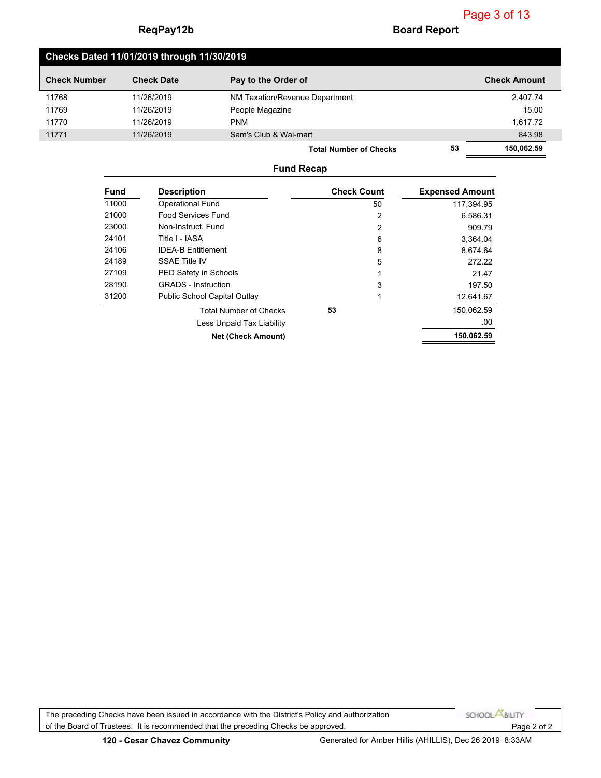## **Checks Dated 11/01/2019 through 11/30/2019**

| <b>Check Number</b> | <b>Check Date</b> | Pay to the Order of            |    | <b>Check Amount</b> |
|---------------------|-------------------|--------------------------------|----|---------------------|
| 11768               | 11/26/2019        | NM Taxation/Revenue Department |    | 2,407.74            |
| 11769               | 11/26/2019        | People Magazine                |    | 15.00               |
| 11770               | 11/26/2019        | <b>PNM</b>                     |    | 1,617.72            |
| 11771               | 11/26/2019        | Sam's Club & Wal-mart          |    | 843.98              |
|                     |                   | <b>Total Number of Checks</b>  | 53 | 150,062.59          |

#### **Fund Recap**

| <b>Fund</b> | <b>Description</b>                  | <b>Check Count</b> | <b>Expensed Amount</b> |
|-------------|-------------------------------------|--------------------|------------------------|
| 11000       | <b>Operational Fund</b>             | 50                 | 117,394.95             |
| 21000       | <b>Food Services Fund</b>           | 2                  | 6,586.31               |
| 23000       | Non-Instruct Fund                   | 2                  | 909.79                 |
| 24101       | Title I - IASA                      | 6                  | 3.364.04               |
| 24106       | <b>IDEA-B Entitlement</b>           | 8                  | 8,674.64               |
| 24189       | SSAE Title IV                       | 5                  | 272.22                 |
| 27109       | PED Safety in Schools               |                    | 21.47                  |
| 28190       | <b>GRADS</b> - Instruction          | 3                  | 197.50                 |
| 31200       | <b>Public School Capital Outlay</b> |                    | 12,641.67              |
|             | <b>Total Number of Checks</b>       | 53                 | 150,062.59             |
|             | Less Unpaid Tax Liability           |                    | .00                    |
|             | <b>Net (Check Amount)</b>           |                    | 150,062.59             |

The preceding Checks have been issued in accordance with the District's Policy and authorization SCHOOL **ABILITY** of the Board of Trustees. It is recommended that the preceding Checks be approved. Page 2 of 2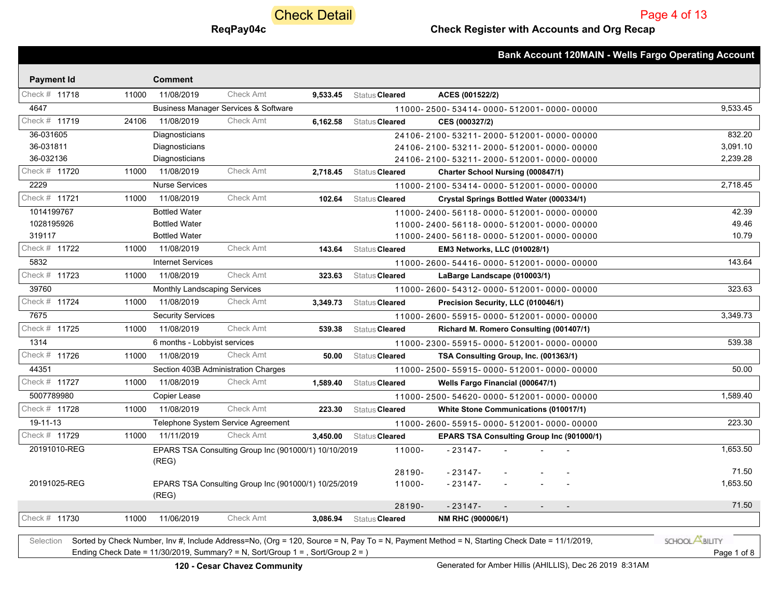**Check Detail** 

### **ReqPay04c Check Register with Accounts and Org Recap**

Page 4 of 13

|                        |       |                                     |                                                      |          |                         | <b>Bank Account 120MAIN - Wells Fargo Operating Account</b> |
|------------------------|-------|-------------------------------------|------------------------------------------------------|----------|-------------------------|-------------------------------------------------------------|
|                        |       | <b>Comment</b>                      |                                                      |          |                         |                                                             |
| <b>Payment Id</b>      |       |                                     |                                                      |          |                         |                                                             |
| Check # 11718          | 11000 | 11/08/2019                          | <b>Check Amt</b>                                     |          | 9,533.45 Status Cleared | ACES (001522/2)                                             |
| 4647                   |       |                                     | <b>Business Manager Services &amp; Software</b>      |          |                         | 9,533.45<br>11000-2500-53414-0000-512001-0000-00000         |
| Check # 11719          | 24106 | 11/08/2019                          | Check Amt                                            | 6,162.58 | Status Cleared          | CES (000327/2)                                              |
| 36-031605              |       | Diagnosticians                      |                                                      |          |                         | 832.20<br>24106-2100-53211-2000-512001-0000-00000           |
| 36-031811<br>36-032136 |       | Diagnosticians                      |                                                      |          |                         | 3,091.10<br>24106-2100-53211-2000-512001-0000-00000         |
|                        |       | Diagnosticians                      |                                                      |          |                         | 2,239.28<br>24106-2100-53211-2000-512001-0000-00000         |
| Check # 11720          |       | 11000 11/08/2019                    | <b>Check Amt</b>                                     | 2.718.45 | Status Cleared          | <b>Charter School Nursing (000847/1)</b>                    |
| 2229                   |       | <b>Nurse Services</b>               |                                                      |          |                         | 2,718.45<br>11000-2100-53414-0000-512001-0000-00000         |
| Check # 11721          | 11000 | 11/08/2019                          | <b>Check Amt</b>                                     | 102.64   | Status Cleared          | Crystal Springs Bottled Water (000334/1)                    |
| 1014199767             |       | <b>Bottled Water</b>                |                                                      |          |                         | 42.39<br>11000-2400-56118-0000-512001-0000-00000            |
| 1028195926             |       | <b>Bottled Water</b>                |                                                      |          |                         | 49.46<br>11000-2400-56118-0000-512001-0000-00000            |
| 319117                 |       | <b>Bottled Water</b>                |                                                      |          |                         | 10.79<br>11000-2400-56118-0000-512001-0000-00000            |
| Check # 11722          | 11000 | 11/08/2019                          | <b>Check Amt</b>                                     | 143.64   | Status Cleared          | <b>EM3 Networks, LLC (010028/1)</b>                         |
| 5832                   |       | <b>Internet Services</b>            |                                                      |          |                         | 143.64<br>11000-2600-54416-0000-512001-0000-00000           |
| Check # 11723          | 11000 | 11/08/2019                          | <b>Check Amt</b>                                     | 323.63   | Status Cleared          | LaBarge Landscape (010003/1)                                |
| 39760                  |       | Monthly Landscaping Services        |                                                      |          |                         | 323.63<br>11000-2600-54312-0000-512001-0000-00000           |
| Check # 11724          | 11000 | 11/08/2019                          | <b>Check Amt</b>                                     | 3,349.73 | Status Cleared          | Precision Security, LLC (010046/1)                          |
| 7675                   |       | <b>Security Services</b>            |                                                      |          |                         | 3,349.73<br>11000-2600-55915-0000-512001-0000-00000         |
| Check # 11725          | 11000 | 11/08/2019                          | <b>Check Amt</b>                                     | 539.38   | Status Cleared          | Richard M. Romero Consulting (001407/1)                     |
| 1314                   |       | 6 months - Lobbyist services        |                                                      |          |                         | 539.38<br>11000-2300-55915-0000-512001-0000-00000           |
| Check # 11726          | 11000 | 11/08/2019                          | <b>Check Amt</b>                                     | 50.00    | Status Cleared          | TSA Consulting Group, Inc. (001363/1)                       |
| 44351                  |       | Section 403B Administration Charges |                                                      |          |                         | 50.00<br>11000-2500-55915-0000-512001-0000-00000            |
| Check # 11727          | 11000 | 11/08/2019                          | <b>Check Amt</b>                                     | 1,589.40 | Status Cleared          | Wells Fargo Financial (000647/1)                            |
| 5007789980             |       | Copier Lease                        |                                                      |          |                         | 1,589.40<br>11000-2500-54620-0000-512001-0000-00000         |
| Check # 11728          | 11000 | 11/08/2019                          | <b>Check Amt</b>                                     | 223.30   | Status Cleared          | White Stone Communications (010017/1)                       |
| 19-11-13               |       |                                     | Telephone System Service Agreement                   |          |                         | 223.30<br>11000-2600-55915-0000-512001-0000-00000           |
| Check # 11729          | 11000 | 11/11/2019                          | <b>Check Amt</b>                                     | 3,450.00 | Status Cleared          | <b>EPARS TSA Consulting Group Inc (901000/1)</b>            |
| 20191010-REG           |       | (REG)                               | EPARS TSA Consulting Group Inc (901000/1) 10/10/2019 |          | 11000-                  | 1,653.50<br>$-23147-$                                       |
|                        |       |                                     |                                                      |          | 28190-                  | 71.50<br>$-23147-$                                          |
| 20191025-REG           |       | (REG)                               | EPARS TSA Consulting Group Inc (901000/1) 10/25/2019 |          | 11000-                  | 1,653.50<br>$-23147-$                                       |
|                        |       |                                     |                                                      |          | 28190-                  | 71.50<br>$-23147-$                                          |
| Check # 11730          | 11000 | 11/06/2019                          | <b>Check Amt</b>                                     | 3.086.94 | Status Cleared          | NM RHC (900006/1)                                           |
|                        |       |                                     |                                                      |          |                         |                                                             |

Selection Sorted by Check Number, Inv #, Include Address=No, (Org = 120, Source = N, Pay To = N, Payment Method = N, Starting Check Date = 11/1/2019, Ending Check Date = 11/30/2019, Summary? = N, Sort/Group 1 = , Sort/Group 2 = ) Page 1 of 8

SCHOOL **ABILITY**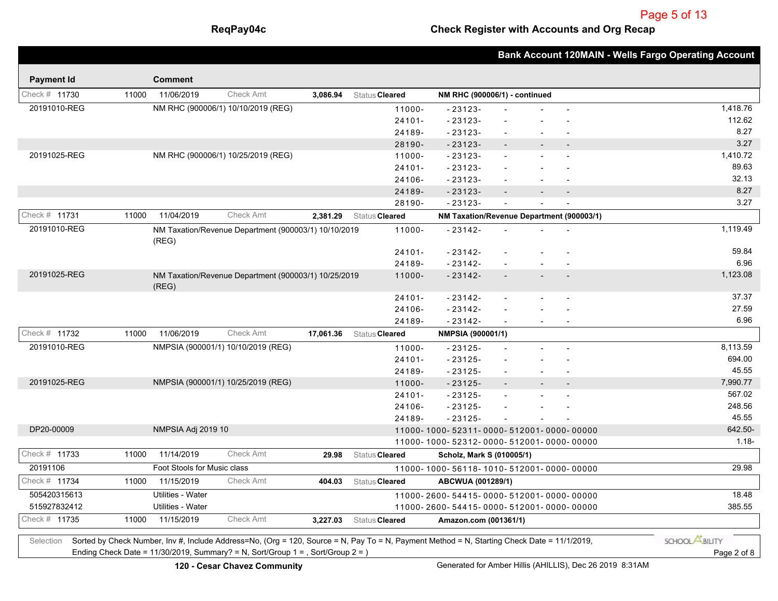## **ReqPay04c Check Register with Accounts and Org Recap**

|                   |       |                             |                                                                                 |           |                                                                                                                                             |                                           |                |                | <b>Bank Account 120MAIN - Wells Fargo Operating Account</b> |
|-------------------|-------|-----------------------------|---------------------------------------------------------------------------------|-----------|---------------------------------------------------------------------------------------------------------------------------------------------|-------------------------------------------|----------------|----------------|-------------------------------------------------------------|
| <b>Payment Id</b> |       | <b>Comment</b>              |                                                                                 |           |                                                                                                                                             |                                           |                |                |                                                             |
| Check # 11730     | 11000 | 11/06/2019                  | <b>Check Amt</b>                                                                | 3,086.94  | Status Cleared                                                                                                                              | NM RHC (900006/1) - continued             |                |                |                                                             |
| 20191010-REG      |       |                             | NM RHC (900006/1) 10/10/2019 (REG)                                              |           | 11000-                                                                                                                                      | $-23123-$                                 |                |                | 1,418.76                                                    |
|                   |       |                             |                                                                                 |           | $24101 -$                                                                                                                                   | $-23123-$                                 |                |                | 112.62                                                      |
|                   |       |                             |                                                                                 |           | 24189-                                                                                                                                      | $-23123-$                                 | $\blacksquare$ |                | 8.27                                                        |
|                   |       |                             |                                                                                 |           | 28190-                                                                                                                                      | $-23123-$                                 |                |                | 3.27                                                        |
| 20191025-REG      |       |                             | NM RHC (900006/1) 10/25/2019 (REG)                                              |           | 11000-                                                                                                                                      | $-23123-$                                 |                |                | 1,410.72                                                    |
|                   |       |                             |                                                                                 |           | $24101 -$                                                                                                                                   | $-23123-$                                 |                |                | 89.63                                                       |
|                   |       |                             |                                                                                 |           | 24106-                                                                                                                                      | $-23123-$                                 |                |                | 32.13                                                       |
|                   |       |                             |                                                                                 |           | 24189-                                                                                                                                      | $-23123-$                                 |                | $\overline{a}$ | 8.27                                                        |
|                   |       |                             |                                                                                 |           | 28190-                                                                                                                                      | $-23123-$                                 |                |                | 3.27                                                        |
| Check $#$ 11731   | 11000 | 11/04/2019                  | <b>Check Amt</b>                                                                | 2,381.29  | Status Cleared                                                                                                                              | NM Taxation/Revenue Department (900003/1) |                |                |                                                             |
| 20191010-REG      |       | (REG)                       | NM Taxation/Revenue Department (900003/1) 10/10/2019                            |           | 11000-                                                                                                                                      | $-23142-$                                 |                |                | 1,119.49                                                    |
|                   |       |                             |                                                                                 |           | $24101 -$                                                                                                                                   | $-23142-$                                 |                |                | 59.84                                                       |
|                   |       |                             |                                                                                 |           | 24189-                                                                                                                                      | $-23142-$                                 |                |                | 6.96                                                        |
| 20191025-REG      |       | (REG)                       | NM Taxation/Revenue Department (900003/1) 10/25/2019                            |           | 11000-                                                                                                                                      | $-23142-$                                 |                |                | 1,123.08                                                    |
|                   |       |                             |                                                                                 |           | $24101 -$                                                                                                                                   | $-23142-$                                 |                |                | 37.37                                                       |
|                   |       |                             |                                                                                 |           | 24106-                                                                                                                                      | $-23142-$                                 |                |                | 27.59                                                       |
|                   |       |                             |                                                                                 |           | 24189-                                                                                                                                      | $-23142-$                                 |                |                | 6.96                                                        |
| Check # 11732     | 11000 | 11/06/2019                  | <b>Check Amt</b>                                                                | 17,061.36 | Status Cleared                                                                                                                              | NMPSIA (900001/1)                         |                |                |                                                             |
| 20191010-REG      |       |                             | NMPSIA (900001/1) 10/10/2019 (REG)                                              |           | 11000-                                                                                                                                      | $-23125-$                                 |                |                | 8,113.59                                                    |
|                   |       |                             |                                                                                 |           | $24101 -$                                                                                                                                   | $-23125-$                                 |                |                | 694.00                                                      |
|                   |       |                             |                                                                                 |           | 24189-                                                                                                                                      | $-23125-$                                 |                |                | 45.55                                                       |
| 20191025-REG      |       |                             | NMPSIA (900001/1) 10/25/2019 (REG)                                              |           | 11000-                                                                                                                                      | $-23125-$                                 |                |                | 7,990.77                                                    |
|                   |       |                             |                                                                                 |           | $24101 -$                                                                                                                                   | $-23125-$                                 |                |                | 567.02                                                      |
|                   |       |                             |                                                                                 |           | 24106-                                                                                                                                      | $-23125-$                                 |                |                | 248.56                                                      |
|                   |       |                             |                                                                                 |           | 24189-                                                                                                                                      | $-23125-$                                 |                |                | 45.55                                                       |
| DP20-00009        |       | NMPSIA Adj 2019 10          |                                                                                 |           |                                                                                                                                             | 11000-1000-52311-0000-512001-0000-00000   |                |                | 642.50-                                                     |
|                   |       |                             |                                                                                 |           |                                                                                                                                             | 11000-1000-52312-0000-512001-0000-00000   |                |                | $1.18 -$                                                    |
| Check # 11733     | 11000 | 11/14/2019                  | <b>Check Amt</b>                                                                | 29.98     | Status Cleared                                                                                                                              | Scholz, Mark S (010005/1)                 |                |                |                                                             |
| 20191106          |       | Foot Stools for Music class |                                                                                 |           |                                                                                                                                             | 11000-1000-56118-1010-512001-0000-00000   |                |                | 29.98                                                       |
| Check # 11734     | 11000 | 11/15/2019                  | <b>Check Amt</b>                                                                | 404.03    | Status Cleared                                                                                                                              | ABCWUA (001289/1)                         |                |                |                                                             |
| 505420315613      |       | Utilities - Water           |                                                                                 |           |                                                                                                                                             | 11000-2600-54415-0000-512001-0000-00000   |                |                | 18.48                                                       |
| 515927832412      |       | Utilities - Water           |                                                                                 |           |                                                                                                                                             | 11000-2600-54415-0000-512001-0000-00000   |                |                | 385.55                                                      |
| Check # 11735     | 11000 | 11/15/2019                  | <b>Check Amt</b>                                                                | 3,227.03  | Status Cleared                                                                                                                              | Amazon.com (001361/1)                     |                |                |                                                             |
| Selection         |       |                             |                                                                                 |           | Sorted by Check Number, Inv #, Include Address=No, (Org = 120, Source = N, Pay To = N, Payment Method = N, Starting Check Date = 11/1/2019, |                                           |                |                | SCHOOL <b>ABILITY</b>                                       |
|                   |       |                             | Ending Check Date = 11/30/2019, Summary? = N, Sort/Group 1 = , Sort/Group 2 = ) |           |                                                                                                                                             |                                           |                |                | Page 2 of 8                                                 |
|                   |       |                             |                                                                                 |           |                                                                                                                                             |                                           |                |                |                                                             |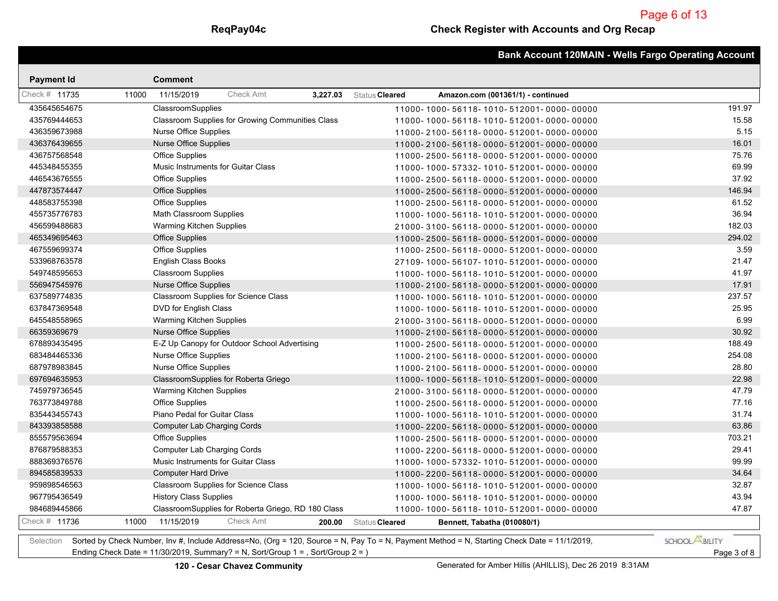|                   |       |                                           |                                                    |          |                |                                         | <b>Bank Account 120MAIN - Wells Fargo Operating Account</b> |
|-------------------|-------|-------------------------------------------|----------------------------------------------------|----------|----------------|-----------------------------------------|-------------------------------------------------------------|
| <b>Payment Id</b> |       | <b>Comment</b>                            |                                                    |          |                |                                         |                                                             |
| Check # 11735     | 11000 | 11/15/2019                                | <b>Check Amt</b>                                   | 3,227.03 | Status Cleared | Amazon.com (001361/1) - continued       |                                                             |
| 435645654675      |       | ClassroomSupplies                         |                                                    |          |                | 11000-1000-56118-1010-512001-0000-00000 | 191.97                                                      |
| 435769444653      |       |                                           | Classroom Supplies for Growing Communities Class   |          |                | 11000-1000-56118-1010-512001-0000-00000 | 15.58                                                       |
| 436359673988      |       | Nurse Office Supplies                     |                                                    |          |                | 11000-2100-56118-0000-512001-0000-00000 | 5.15                                                        |
| 436376439655      |       | <b>Nurse Office Supplies</b>              |                                                    |          |                | 11000-2100-56118-0000-512001-0000-00000 | 16.01                                                       |
| 436757568548      |       | <b>Office Supplies</b>                    |                                                    |          |                | 11000-2500-56118-0000-512001-0000-00000 | 75.76                                                       |
| 445348455355      |       | <b>Music Instruments for Guitar Class</b> |                                                    |          |                | 11000-1000-57332-1010-512001-0000-00000 | 69.99                                                       |
| 446543676555      |       | <b>Office Supplies</b>                    |                                                    |          |                | 11000-2500-56118-0000-512001-0000-00000 | 37.92                                                       |
| 447873574447      |       | <b>Office Supplies</b>                    |                                                    |          |                | 11000-2500-56118-0000-512001-0000-00000 | 146.94                                                      |
| 448583755398      |       | <b>Office Supplies</b>                    |                                                    |          |                | 11000-2500-56118-0000-512001-0000-00000 | 61.52                                                       |
| 455735776783      |       | Math Classroom Supplies                   |                                                    |          |                | 11000-1000-56118-1010-512001-0000-00000 | 36.94                                                       |
| 456599488683      |       | Warming Kitchen Supplies                  |                                                    |          |                | 21000-3100-56118-0000-512001-0000-00000 | 182.03                                                      |
| 465349695463      |       | <b>Office Supplies</b>                    |                                                    |          |                | 11000-2500-56118-0000-512001-0000-00000 | 294.02                                                      |
| 467559699374      |       | Office Supplies                           |                                                    |          |                | 11000-2500-56118-0000-512001-0000-00000 | 3.59                                                        |
| 533968763578      |       | English Class Books                       |                                                    |          |                | 27109-1000-56107-1010-512001-0000-00000 | 21.47                                                       |
| 549748595653      |       | <b>Classroom Supplies</b>                 |                                                    |          |                | 11000-1000-56118-1010-512001-0000-00000 | 41.97                                                       |
| 556947545976      |       | <b>Nurse Office Supplies</b>              |                                                    |          |                | 11000-2100-56118-0000-512001-0000-00000 | 17.91                                                       |
| 637589774835      |       |                                           | Classroom Supplies for Science Class               |          |                | 11000-1000-56118-1010-512001-0000-00000 | 237.57                                                      |
| 637847369548      |       | DVD for English Class                     |                                                    |          |                | 11000-1000-56118-1010-512001-0000-00000 | 25.95                                                       |
| 645548558965      |       | Warming Kitchen Supplies                  |                                                    |          |                | 21000-3100-56118-0000-512001-0000-00000 | 6.99                                                        |
| 66359369679       |       | <b>Nurse Office Supplies</b>              |                                                    |          |                | 11000-2100-56118-0000-512001-0000-00000 | 30.92                                                       |
| 678893435495      |       |                                           | E-Z Up Canopy for Outdoor School Advertising       |          |                | 11000-2500-56118-0000-512001-0000-00000 | 188.49                                                      |
| 683484465336      |       | <b>Nurse Office Supplies</b>              |                                                    |          |                | 11000-2100-56118-0000-512001-0000-00000 | 254.08                                                      |
| 687978983845      |       | <b>Nurse Office Supplies</b>              |                                                    |          |                | 11000-2100-56118-0000-512001-0000-00000 | 28.80                                                       |
| 697694635953      |       |                                           | ClassroomSupplies for Roberta Griego               |          |                | 11000-1000-56118-1010-512001-0000-00000 | 22.98                                                       |
| 745979736545      |       | Warming Kitchen Supplies                  |                                                    |          |                | 21000-3100-56118-0000-512001-0000-00000 | 47.79                                                       |
| 763773849788      |       | <b>Office Supplies</b>                    |                                                    |          |                | 11000-2500-56118-0000-512001-0000-00000 | 77.16                                                       |
| 835443455743      |       | Piano Pedal for Guitar Class              |                                                    |          |                | 11000-1000-56118-1010-512001-0000-00000 | 31.74                                                       |
| 843393858588      |       | <b>Computer Lab Charging Cords</b>        |                                                    |          |                | 11000-2200-56118-0000-512001-0000-00000 | 63.86                                                       |
| 855579563694      |       | Office Supplies                           |                                                    |          |                | 11000-2500-56118-0000-512001-0000-00000 | 703.21                                                      |
| 876879588353      |       | <b>Computer Lab Charging Cords</b>        |                                                    |          |                | 11000-2200-56118-0000-512001-0000-00000 | 29.41                                                       |
| 888369376576      |       | Music Instruments for Guitar Class        |                                                    |          |                | 11000-1000-57332-1010-512001-0000-00000 | 99.99                                                       |
| 894585839533      |       | <b>Computer Hard Drive</b>                |                                                    |          |                | 11000-2200-56118-0000-512001-0000-00000 | 34.64                                                       |
| 959898546563      |       |                                           | Classroom Supplies for Science Class               |          |                | 11000-1000-56118-1010-512001-0000-00000 | 32.87                                                       |
| 967795436549      |       | <b>History Class Supplies</b>             |                                                    |          |                | 11000-1000-56118-1010-512001-0000-00000 | 43.94                                                       |
| 984689445866      |       |                                           | ClassroomSupplies for Roberta Griego, RD 180 Class |          |                | 11000-1000-56118-1010-512001-0000-00000 | 47.87                                                       |
| Check # 11736     | 11000 | 11/15/2019                                | Check Amt                                          | 200.00   | Status Cleared | Bennett, Tabatha (010080/1)             |                                                             |

Selection Sorted by Check Number, Inv #, Include Address=No, (Org = 120, Source = N, Pay To = N, Payment Method = N, Starting Check Date = 11/1/2019, Ending Check Date = 11/30/2019, Summary? = N, Sort/Group 1 = , Sort/Group 2 = ) Page 3 of 8

SCHOOL **ABILITY**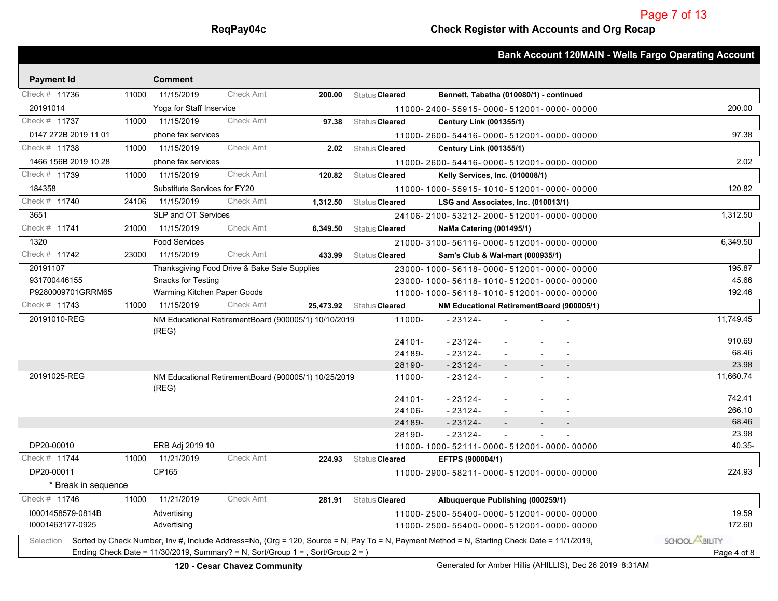|                                    |       |                              |                                              |                                                                                    |                |                                        |                                                                                                                                             | <b>Bank Account 120MAIN - Wells Fargo Operating Account</b> |
|------------------------------------|-------|------------------------------|----------------------------------------------|------------------------------------------------------------------------------------|----------------|----------------------------------------|---------------------------------------------------------------------------------------------------------------------------------------------|-------------------------------------------------------------|
|                                    |       | <b>Comment</b>               |                                              |                                                                                    |                |                                        |                                                                                                                                             |                                                             |
| <b>Payment Id</b><br>Check # 11736 | 11000 | 11/15/2019                   | Check Amt                                    | 200.00                                                                             | Status Cleared |                                        | Bennett, Tabatha (010080/1) - continued                                                                                                     |                                                             |
| 20191014                           |       | Yoga for Staff Inservice     |                                              |                                                                                    |                |                                        | 11000-2400-55915-0000-512001-0000-00000                                                                                                     | 200.00                                                      |
| Check # 11737                      | 11000 | 11/15/2019                   | <b>Check Amt</b>                             | 97.38                                                                              | Status Cleared | <b>Century Link (001355/1)</b>         |                                                                                                                                             |                                                             |
| 0147 272B 2019 11 01               |       | phone fax services           |                                              |                                                                                    |                |                                        | 11000-2600-54416-0000-512001-0000-00000                                                                                                     | 97.38                                                       |
| Check # 11738                      | 11000 | 11/15/2019                   | Check Amt                                    | 2.02                                                                               | Status Cleared | <b>Century Link (001355/1)</b>         |                                                                                                                                             |                                                             |
| 1466 156B 2019 10 28               |       | phone fax services           |                                              |                                                                                    |                |                                        | 11000-2600-54416-0000-512001-0000-00000                                                                                                     | 2.02                                                        |
| Check # 11739                      | 11000 | 11/15/2019                   | <b>Check Amt</b>                             | 120.82                                                                             | Status Cleared | <b>Kelly Services, Inc. (010008/1)</b> |                                                                                                                                             |                                                             |
| 184358                             |       | Substitute Services for FY20 |                                              |                                                                                    |                |                                        | 11000-1000-55915-1010-512001-0000-00000                                                                                                     | 120.82                                                      |
| Check # 11740                      | 24106 | 11/15/2019                   | <b>Check Amt</b>                             | 1,312.50                                                                           | Status Cleared |                                        | LSG and Associates, Inc. (010013/1)                                                                                                         |                                                             |
| 3651                               |       | SLP and OT Services          |                                              |                                                                                    |                |                                        | 24106-2100-53212-2000-512001-0000-00000                                                                                                     | 1,312.50                                                    |
| Check # 11741                      | 21000 | 11/15/2019                   | <b>Check Amt</b>                             | 6,349.50                                                                           | Status Cleared | NaMa Catering (001495/1)               |                                                                                                                                             |                                                             |
| 1320                               |       | <b>Food Services</b>         |                                              |                                                                                    |                |                                        | 21000-3100-56116-0000-512001-0000-00000                                                                                                     | 6,349.50                                                    |
| Check # 11742                      | 23000 | 11/15/2019                   | <b>Check Amt</b>                             | 433.99                                                                             | Status Cleared | Sam's Club & Wal-mart (000935/1)       |                                                                                                                                             |                                                             |
| 20191107                           |       |                              | Thanksgiving Food Drive & Bake Sale Supplies |                                                                                    |                |                                        | 23000-1000-56118-0000-512001-0000-00000                                                                                                     | 195.87                                                      |
| 931700446155                       |       | <b>Snacks for Testing</b>    |                                              |                                                                                    |                |                                        | 23000-1000-56118-1010-512001-0000-00000                                                                                                     | 45.66                                                       |
| P9280009701GRRM65                  |       | Warming Kitchen Paper Goods  |                                              |                                                                                    |                |                                        | 11000-1000-56118-1010-512001-0000-00000                                                                                                     | 192.46                                                      |
| Check # 11743                      | 11000 | 11/15/2019                   | <b>Check Amt</b>                             | 25,473.92                                                                          | Status Cleared |                                        | NM Educational RetirementBoard (900005/1)                                                                                                   |                                                             |
| 20191010-REG                       |       |                              |                                              | NM Educational RetirementBoard (900005/1) 10/10/2019                               | 11000-         | $-23124-$                              |                                                                                                                                             | 11,749.45                                                   |
|                                    |       | (REG)                        |                                              |                                                                                    |                |                                        |                                                                                                                                             |                                                             |
|                                    |       |                              |                                              |                                                                                    | $24101 -$      | $-23124-$                              |                                                                                                                                             | 910.69                                                      |
|                                    |       |                              |                                              |                                                                                    | 24189-         | $-23124-$                              |                                                                                                                                             | 68.46                                                       |
|                                    |       |                              |                                              |                                                                                    | 28190-         | $-23124-$                              |                                                                                                                                             | 23.98                                                       |
| 20191025-REG                       |       | (REG)                        |                                              | NM Educational RetirementBoard (900005/1) 10/25/2019                               | 11000-         | $-23124-$                              |                                                                                                                                             | 11,660.74                                                   |
|                                    |       |                              |                                              |                                                                                    | $24101 -$      | $-23124-$                              |                                                                                                                                             | 742.41                                                      |
|                                    |       |                              |                                              |                                                                                    | 24106-         | $-23124-$                              |                                                                                                                                             | 266.10                                                      |
|                                    |       |                              |                                              |                                                                                    | 24189-         | $-23124-$                              | $\overline{\phantom{a}}$                                                                                                                    | 68.46                                                       |
|                                    |       |                              |                                              |                                                                                    | 28190-         | $-23124-$                              |                                                                                                                                             | 23.98                                                       |
| DP20-00010                         |       | ERB Adj 2019 10              |                                              |                                                                                    |                |                                        | 11000-1000-52111-0000-512001-0000-00000                                                                                                     | 40.35-                                                      |
| Check # 11744                      | 11000 | 11/21/2019                   | Check Amt                                    | 224.93                                                                             | Status Cleared | EFTPS (900004/1)                       |                                                                                                                                             |                                                             |
| DP20-00011                         |       | CP165                        |                                              |                                                                                    |                |                                        | 11000-2900-58211-0000-512001-0000-00000                                                                                                     | 224.93                                                      |
| * Break in sequence                |       |                              |                                              |                                                                                    |                |                                        |                                                                                                                                             |                                                             |
| Check # 11746                      | 11000 | 11/21/2019                   | Check Amt                                    | 281.91                                                                             | Status Cleared |                                        | Albuquerque Publishing (000259/1)                                                                                                           |                                                             |
| I0001458579-0814B                  |       | Advertising                  |                                              |                                                                                    |                |                                        | 11000-2500-55400-0000-512001-0000-00000                                                                                                     | 19.59                                                       |
| 10001463177-0925                   |       | Advertising                  |                                              |                                                                                    |                |                                        | 11000-2500-55400-0000-512001-0000-00000                                                                                                     | 172.60                                                      |
| Selection                          |       |                              |                                              |                                                                                    |                |                                        | Sorted by Check Number, Inv #, Include Address=No, (Org = 120, Source = N, Pay To = N, Payment Method = N, Starting Check Date = 11/1/2019, | SCHOOL <b>ASILITY</b>                                       |
|                                    |       |                              |                                              | Ending Check Date = $11/30/2019$ , Summary? = N, Sort/Group 1 = , Sort/Group 2 = ) |                |                                        |                                                                                                                                             | Page 4 of 8                                                 |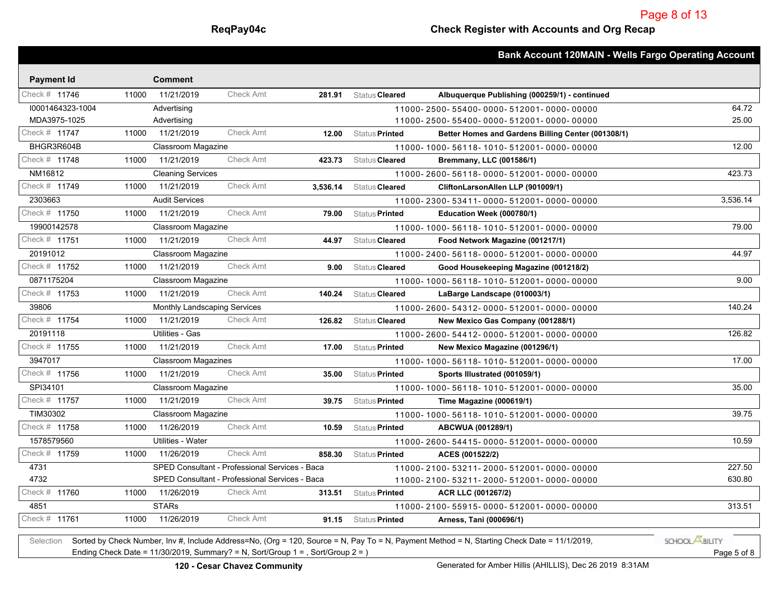|                        |                              |                                                |          |                       | <b>Bank Account 120MAIN - Wells Fargo Operating Account</b> |          |
|------------------------|------------------------------|------------------------------------------------|----------|-----------------------|-------------------------------------------------------------|----------|
| <b>Payment Id</b>      | <b>Comment</b>               |                                                |          |                       |                                                             |          |
| Check # 11746<br>11000 | 11/21/2019                   | <b>Check Amt</b>                               | 281.91   | Status Cleared        | Albuquerque Publishing (000259/1) - continued               |          |
| 10001464323-1004       | Advertising                  |                                                |          |                       | 11000-2500-55400-0000-512001-0000-00000                     | 64.72    |
| MDA3975-1025           | Advertising                  |                                                |          |                       | 11000-2500-55400-0000-512001-0000-00000                     | 25.00    |
| Check # 11747<br>11000 | 11/21/2019                   | <b>Check Amt</b>                               | 12.00    | Status Printed        | Better Homes and Gardens Billing Center (001308/1)          |          |
| BHGR3R604B             | Classroom Magazine           |                                                |          |                       | 11000-1000-56118-1010-512001-0000-00000                     | 12.00    |
| Check # 11748<br>11000 | 11/21/2019                   | <b>Check Amt</b>                               | 423.73   | Status <b>Cleared</b> | Bremmany, LLC (001586/1)                                    |          |
| NM16812                | <b>Cleaning Services</b>     |                                                |          |                       | 11000-2600-56118-0000-512001-0000-00000                     | 423.73   |
| Check # 11749<br>11000 | 11/21/2019                   | <b>Check Amt</b>                               | 3,536.14 | Status <b>Cleared</b> | CliftonLarsonAllen LLP (901009/1)                           |          |
| 2303663                | <b>Audit Services</b>        |                                                |          |                       | 11000-2300-53411-0000-512001-0000-00000                     | 3,536.14 |
| Check # 11750<br>11000 | 11/21/2019                   | <b>Check Amt</b>                               | 79.00    | Status Printed        | Education Week (000780/1)                                   |          |
| 19900142578            | Classroom Magazine           |                                                |          |                       | 11000-1000-56118-1010-512001-0000-00000                     | 79.00    |
| Check # 11751<br>11000 | 11/21/2019                   | <b>Check Amt</b>                               | 44.97    | Status Cleared        | Food Network Magazine (001217/1)                            |          |
| 20191012               | Classroom Magazine           |                                                |          |                       | 11000-2400-56118-0000-512001-0000-00000                     | 44.97    |
| Check # 11752<br>11000 | 11/21/2019                   | <b>Check Amt</b>                               | 9.00     | Status Cleared        | Good Housekeeping Magazine (001218/2)                       |          |
| 0871175204             | Classroom Magazine           |                                                |          |                       | 11000-1000-56118-1010-512001-0000-00000                     | 9.00     |
| Check # 11753<br>11000 | 11/21/2019                   | <b>Check Amt</b>                               | 140.24   | Status Cleared        | LaBarge Landscape (010003/1)                                |          |
| 39806                  | Monthly Landscaping Services |                                                |          |                       | 11000-2600-54312-0000-512001-0000-00000                     | 140.24   |
| Check # 11754<br>11000 | 11/21/2019                   | <b>Check Amt</b>                               | 126.82   | Status Cleared        | New Mexico Gas Company (001288/1)                           |          |
| 20191118               | Utilities - Gas              |                                                |          |                       | 11000-2600-54412-0000-512001-0000-00000                     | 126.82   |
| Check # 11755<br>11000 | 11/21/2019                   | <b>Check Amt</b>                               | 17.00    | Status Printed        | New Mexico Magazine (001296/1)                              |          |
| 3947017                | <b>Classroom Magazines</b>   |                                                |          |                       | 11000-1000-56118-1010-512001-0000-00000                     | 17.00    |
| Check # 11756<br>11000 | 11/21/2019                   | <b>Check Amt</b>                               | 35.00    | Status Printed        | Sports Illustrated (001059/1)                               |          |
| SPI34101               | Classroom Magazine           |                                                |          |                       | 11000-1000-56118-1010-512001-0000-00000                     | 35.00    |
| Check # 11757<br>11000 | 11/21/2019                   | <b>Check Amt</b>                               | 39.75    | Status Printed        | Time Magazine (000619/1)                                    |          |
| TIM30302               | Classroom Magazine           |                                                |          |                       | 11000-1000-56118-1010-512001-0000-00000                     | 39.75    |
| Check # 11758<br>11000 | 11/26/2019                   | <b>Check Amt</b>                               | 10.59    | Status Printed        | ABCWUA (001289/1)                                           |          |
| 1578579560             | <b>Utilities - Water</b>     |                                                |          |                       | 11000-2600-54415-0000-512001-0000-00000                     | 10.59    |
| Check # 11759<br>11000 | 11/26/2019                   | <b>Check Amt</b>                               | 858.30   | Status Printed        | ACES (001522/2)                                             |          |
| 4731                   |                              | SPED Consultant - Professional Services - Baca |          |                       | 11000-2100-53211-2000-512001-0000-00000                     | 227.50   |
| 4732                   |                              | SPED Consultant - Professional Services - Baca |          |                       | 11000-2100-53211-2000-512001-0000-00000                     | 630.80   |
| Check # 11760<br>11000 | 11/26/2019                   | <b>Check Amt</b>                               | 313.51   | Status Printed        | ACR LLC (001267/2)                                          |          |
| 4851                   | <b>STARs</b>                 |                                                |          |                       | 11000-2100-55915-0000-512001-0000-00000                     | 313.51   |
| Check # 11761<br>11000 | 11/26/2019                   | <b>Check Amt</b>                               | 91.15    | Status <b>Printed</b> | Arness, Tani (000696/1)                                     |          |

Selection Sorted by Check Number, Inv #, Include Address=No, (Org = 120, Source = N, Pay To = N, Payment Method = N, Starting Check Date = 11/1/2019, Ending Check Date = 11/30/2019, Summary? = N, Sort/Group 1 = , Sort/Group 2 = ) Page 5 of 8

SCHOOL **ABILITY**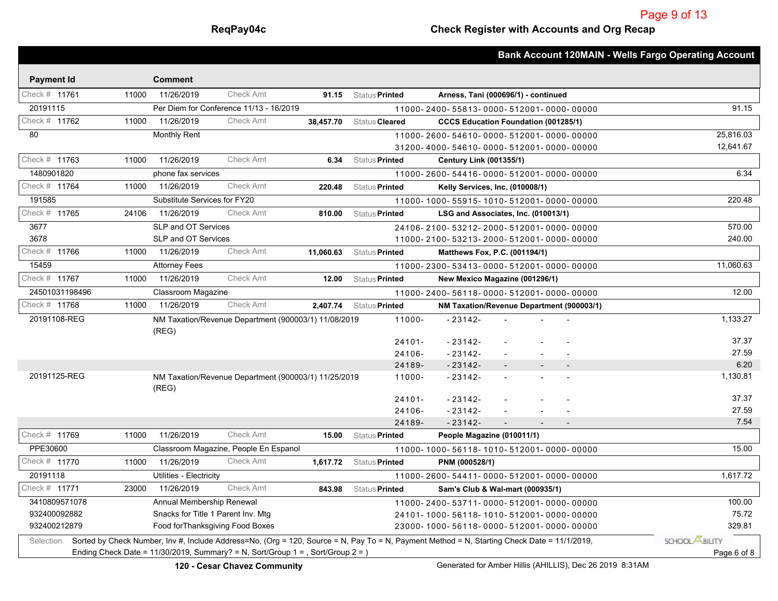|                                                                                                                                                                                                                                |       |                                    |                                                      |           |                       |                                             |  |                          |                          | <b>Bank Account 120MAIN - Wells Fargo Operating Account</b> |
|--------------------------------------------------------------------------------------------------------------------------------------------------------------------------------------------------------------------------------|-------|------------------------------------|------------------------------------------------------|-----------|-----------------------|---------------------------------------------|--|--------------------------|--------------------------|-------------------------------------------------------------|
|                                                                                                                                                                                                                                |       |                                    |                                                      |           |                       |                                             |  |                          |                          |                                                             |
| <b>Payment Id</b><br>Check # 11761                                                                                                                                                                                             | 11000 | <b>Comment</b><br>11/26/2019       | <b>Check Amt</b>                                     |           |                       |                                             |  |                          |                          |                                                             |
|                                                                                                                                                                                                                                |       |                                    |                                                      | 91.15     | Status Printed        | Arness, Tani (000696/1) - continued         |  |                          |                          |                                                             |
| 20191115                                                                                                                                                                                                                       |       |                                    | Per Diem for Conference 11/13 - 16/2019              |           |                       | 11000-2400-55813-0000-512001-0000-00000     |  |                          |                          | 91.15                                                       |
| Check # 11762                                                                                                                                                                                                                  | 11000 | 11/26/2019                         | <b>Check Amt</b>                                     | 38,457.70 | Status Cleared        | <b>CCCS Education Foundation (001285/1)</b> |  |                          |                          |                                                             |
| 80                                                                                                                                                                                                                             |       | <b>Monthly Rent</b>                |                                                      |           |                       | 11000-2600-54610-0000-512001-0000-00000     |  |                          |                          | 25,816.03                                                   |
| Check # 11763                                                                                                                                                                                                                  |       |                                    | Check Amt                                            |           |                       | 31200-4000-54610-0000-512001-0000-00000     |  |                          |                          | 12,641.67                                                   |
|                                                                                                                                                                                                                                | 11000 | 11/26/2019                         |                                                      | 6.34      | Status Printed        | <b>Century Link (001355/1)</b>              |  |                          |                          |                                                             |
| 1480901820                                                                                                                                                                                                                     |       | phone fax services                 |                                                      |           |                       | 11000-2600-54416-0000-512001-0000-00000     |  |                          |                          | 6.34                                                        |
| Check # 11764                                                                                                                                                                                                                  | 11000 | 11/26/2019                         | <b>Check Amt</b>                                     | 220.48    | Status <b>Printed</b> | Kelly Services, Inc. (010008/1)             |  |                          |                          |                                                             |
| 191585                                                                                                                                                                                                                         |       | Substitute Services for FY20       |                                                      |           |                       | 11000-1000-55915-1010-512001-0000-00000     |  |                          |                          | 220.48                                                      |
| Check # 11765                                                                                                                                                                                                                  | 24106 | 11/26/2019                         | <b>Check Amt</b>                                     | 810.00    | Status Printed        | LSG and Associates, Inc. (010013/1)         |  |                          |                          |                                                             |
| 3677                                                                                                                                                                                                                           |       | SLP and OT Services                |                                                      |           |                       | 24106-2100-53212-2000-512001-0000-00000     |  |                          |                          | 570.00                                                      |
| 3678                                                                                                                                                                                                                           |       | SLP and OT Services                |                                                      |           |                       | 11000-2100-53213-2000-512001-0000-00000     |  |                          |                          | 240.00                                                      |
| Check # 11766                                                                                                                                                                                                                  | 11000 | 11/26/2019                         | Check Amt                                            | 11.060.63 | Status <b>Printed</b> | Matthews Fox, P.C. (001194/1)               |  |                          |                          |                                                             |
| 15459                                                                                                                                                                                                                          |       | <b>Attorney Fees</b>               |                                                      |           |                       | 11000-2300-53413-0000-512001-0000-00000     |  |                          |                          | 11,060.63                                                   |
| Check # 11767                                                                                                                                                                                                                  | 11000 | 11/26/2019                         | Check Amt                                            | 12.00     | Status Printed        | New Mexico Magazine (001296/1)              |  |                          |                          |                                                             |
| 24501031198496                                                                                                                                                                                                                 |       | Classroom Magazine                 |                                                      |           |                       | 11000-2400-56118-0000-512001-0000-00000     |  |                          |                          | 12.00                                                       |
| Check # 11768                                                                                                                                                                                                                  | 11000 | 11/26/2019                         | Check Amt                                            | 2,407.74  | Status Printed        | NM Taxation/Revenue Department (900003/1)   |  |                          |                          |                                                             |
| 20191108-REG                                                                                                                                                                                                                   |       | (REG)                              | NM Taxation/Revenue Department (900003/1) 11/08/2019 |           | 11000-                | $-23142-$                                   |  |                          |                          | 1,133.27                                                    |
|                                                                                                                                                                                                                                |       |                                    |                                                      |           | $24101 -$             | $-23142-$                                   |  |                          |                          | 37.37                                                       |
|                                                                                                                                                                                                                                |       |                                    |                                                      |           | 24106-                | $-23142-$                                   |  |                          |                          | 27.59                                                       |
|                                                                                                                                                                                                                                |       |                                    |                                                      |           | 24189-                | $-23142-$                                   |  | $\overline{\phantom{a}}$ | $\overline{\phantom{a}}$ | 6.20                                                        |
| 20191125-REG                                                                                                                                                                                                                   |       | (REG)                              | NM Taxation/Revenue Department (900003/1) 11/25/2019 |           | 11000-                | $-23142-$                                   |  |                          |                          | 1,130.81                                                    |
|                                                                                                                                                                                                                                |       |                                    |                                                      |           | $24101 -$             | $-23142-$                                   |  |                          |                          | 37.37                                                       |
|                                                                                                                                                                                                                                |       |                                    |                                                      |           | 24106-                | $-23142-$                                   |  |                          |                          | 27.59                                                       |
|                                                                                                                                                                                                                                |       |                                    |                                                      |           | 24189-                | $-23142-$                                   |  |                          |                          | 7.54                                                        |
| Check # 11769                                                                                                                                                                                                                  | 11000 | 11/26/2019                         | Check Amt                                            | 15.00     | Status Printed        | People Magazine (010011/1)                  |  |                          |                          |                                                             |
| PPE30600                                                                                                                                                                                                                       |       |                                    | Classroom Magazine, People En Espanol                |           |                       | 11000-1000-56118-1010-512001-0000-00000     |  |                          |                          | 15.00                                                       |
| Check # 11770                                                                                                                                                                                                                  | 11000 | 11/26/2019                         | <b>Check Amt</b>                                     | 1,617.72  | Status Printed        | PNM (000528/1)                              |  |                          |                          |                                                             |
| 20191118                                                                                                                                                                                                                       |       | Utilities - Electricity            |                                                      |           |                       | 11000-2600-54411-0000-512001-0000-00000     |  |                          |                          | 1,617.72                                                    |
| Check # 11771                                                                                                                                                                                                                  | 23000 | 11/26/2019                         | Check Amt                                            | 843.98    | Status Printed        | Sam's Club & Wal-mart (000935/1)            |  |                          |                          |                                                             |
| 3410809571078                                                                                                                                                                                                                  |       | Annual Membership Renewal          |                                                      |           |                       | 11000-2400-53711-0000-512001-0000-00000     |  |                          |                          | 100.00                                                      |
| 932400092882                                                                                                                                                                                                                   |       | Snacks for Title 1 Parent Inv. Mtg |                                                      |           |                       | 24101-1000-56118-1010-512001-0000-00000     |  |                          |                          | 75.72                                                       |
| 932400212879                                                                                                                                                                                                                   |       | Food for Thanksgiving Food Boxes   |                                                      |           |                       | 23000-1000-56118-0000-512001-0000-00000     |  |                          |                          | 329.81                                                      |
| Selection                                                                                                                                                                                                                      |       |                                    |                                                      |           |                       |                                             |  |                          |                          | SCHOOL <b>ASILITY</b>                                       |
| Sorted by Check Number, Inv #, Include Address=No, (Org = 120, Source = N, Pay To = N, Payment Method = N, Starting Check Date = 11/1/2019,<br>Ending Check Date = 11/30/2019, Summary? = N, Sort/Group 1 = , Sort/Group 2 = ) |       |                                    |                                                      |           |                       |                                             |  |                          | Page 6 of 8              |                                                             |